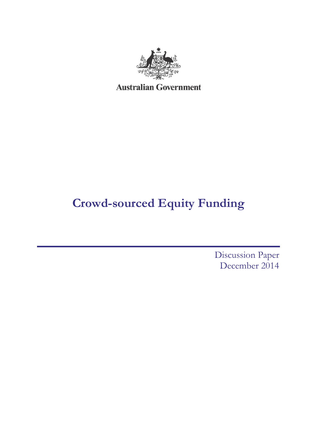

# **Crowd-sourced Equity Funding**

Discussion Paper December 2014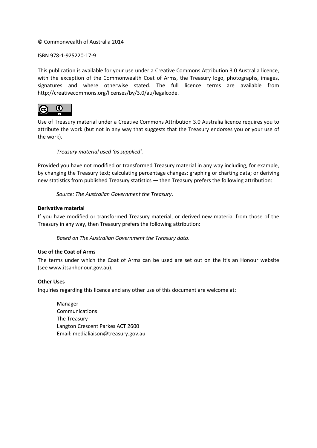#### © Commonwealth of Australia 2014

#### ISBN 978-1-925220-17-9

This publication is available for your use under a [Creative Commons Attribution 3.0 Australia](http://creativecommons.org/licenses/by/3.0/au/deed.en) licence, with the exception of the Commonwealth Coat of Arms, the Treasury logo, photographs, images, signatures and where otherwise stated. The full licence terms are available from [http://creativecommons.org/licenses/by/3.0/au/legalcode.](http://creativecommons.org/licenses/by/3.0/au/legalcode)



Use of Treasury material under a [Creative Commons Attribution 3.0 Australia](http://creativecommons.org/licenses/by/3.0/au/deed.en) licence requires you to attribute the work (but not in any way that suggests that the Treasury endorses you or your use of the work).

#### *Treasury material used 'as supplied'.*

Provided you have not modified or transformed Treasury material in any way including, for example, by changing the Treasury text; calculating percentage changes; graphing or charting data; or deriving new statistics from published Treasury statistics — then Treasury prefers the following attribution:

*Source: The Australian Government the Treasury*.

#### **Derivative material**

If you have modified or transformed Treasury material, or derived new material from those of the Treasury in any way, then Treasury prefers the following attribution:

*Based on The Australian Government the Treasury data*.

#### **Use of the Coat of Arms**

The terms under which the Coat of Arms can be used are set out on the It's an Honour website (see [www.itsanhonour.gov.au\)](http://www.itsanhonour.gov.au/).

#### **Other Uses**

Inquiries regarding this licence and any other use of this document are welcome at:

Manager Communications The Treasury Langton Crescent Parkes ACT 2600 Email: [medialiaison@treasury.gov.au](mailto:medialiaison@treasury.gov.au)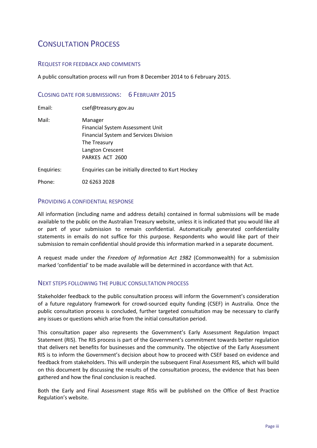## CONSULTATION PROCESS

#### REQUEST FOR FEEDBACK AND COMMENTS

A public consultation process will run from 8 December 2014 to 6 February 2015.

### CLOSING DATE FOR SUBMISSIONS: 6 FEBRUARY 2015

| Email:     | csef@treasury.gov.au                                          |
|------------|---------------------------------------------------------------|
| Mail:      | Manager<br>Financial System Assessment Unit                   |
|            | <b>Financial System and Services Division</b><br>The Treasury |
|            | Langton Crescent<br>PARKES ACT 2600                           |
| Enquiries: | Enquiries can be initially directed to Kurt Hockey            |
|            |                                                               |

Phone: 02 6263 2028

#### PROVIDING A CONFIDENTIAL RESPONSE

All information (including name and address details) contained in formal submissions will be made available to the public on the Australian Treasury website, unless it is indicated that you would like all or part of your submission to remain confidential. Automatically generated confidentiality statements in emails do not suffice for this purpose. Respondents who would like part of their submission to remain confidential should provide this information marked in a separate document.

A request made under the *Freedom of Information Act 1982* (Commonwealth) for a submission marked 'confidential' to be made available will be determined in accordance with that Act.

#### NEXT STEPS FOLLOWING THE PUBLIC CONSULTATION PROCESS

Stakeholder feedback to the public consultation process will inform the Government's consideration of a future regulatory framework for crowd-sourced equity funding (CSEF) in Australia. Once the public consultation process is concluded, further targeted consultation may be necessary to clarify any issues or questions which arise from the initial consultation period.

This consultation paper also represents the Government's Early Assessment Regulation Impact Statement (RIS). The RIS process is part of the Government's commitment towards better regulation that delivers net benefits for businesses and the community. The objective of the Early Assessment RIS is to inform the Government's decision about how to proceed with CSEF based on evidence and feedback from stakeholders. This will underpin the subsequent Final Assessment RIS, which will build on this document by discussing the results of the consultation process, the evidence that has been gathered and how the final conclusion is reached.

Both the Early and Final Assessment stage RISs will be published on the Office of Best Practice Regulation's website.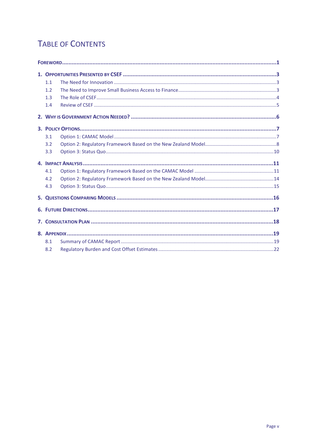## **TABLE OF CONTENTS**

| 1.1 |  |  |
|-----|--|--|
| 1.2 |  |  |
| 1.3 |  |  |
| 1.4 |  |  |
|     |  |  |
|     |  |  |
| 3.1 |  |  |
| 3.2 |  |  |
| 3.3 |  |  |
|     |  |  |
| 4.1 |  |  |
| 4.2 |  |  |
| 4.3 |  |  |
|     |  |  |
|     |  |  |
|     |  |  |
|     |  |  |
| 8.1 |  |  |
| 8.2 |  |  |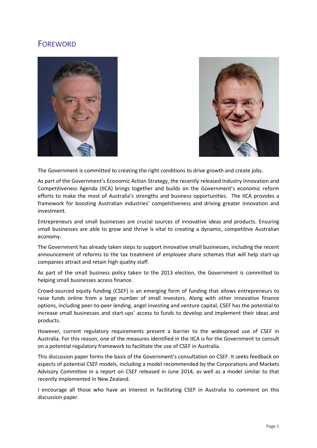### **FOREWORD**





The Government is committed to creating the right conditions to drive growth and create jobs.

As part of the Government's Economic Action Strategy, the recently released Industry Innovation and Competitiveness Agenda (IICA) brings together and builds on the Government's economic reform efforts to make the most of Australia's strengths and business opportunities. The IICA provides a framework for boosting Australian industries' competitiveness and driving greater innovation and investment.

Entrepreneurs and small businesses are crucial sources of innovative ideas and products. Ensuring small businesses are able to grow and thrive is vital to creating a dynamic, competitive Australian economy.

The Government has already taken steps to support innovative small businesses, including the recent announcement of reforms to the tax treatment of employee share schemes that will help start-up companies attract and retain high quality staff.

As part of the small business policy taken to the 2013 election, the Government is committed to helping small businesses access finance.

Crowd-sourced equity funding (CSEF) is an emerging form of funding that allows entrepreneurs to raise funds online from a large number of small investors. Along with other innovative finance options, including peer-to-peer lending, angel investing and venture capital, CSEF has the potential to increase small businesses and start-ups' access to funds to develop and implement their ideas and products.

However, current regulatory requirements present a barrier to the widespread use of CSEF in Australia. For this reason, one of the measures identified in the IICA is for the Government to consult on a potential regulatory framework to facilitate the use of CSEF in Australia.

This discussion paper forms the basis of the Government's consultation on CSEF. It seeks feedback on aspects of potential CSEF models, including a model recommended by the Corporations and Markets Advisory Committee in a report on CSEF released in June 2014, as well as a model similar to that recently implemented in New Zealand.

I encourage all those who have an interest in facilitating CSEF in Australia to comment on this discussion paper.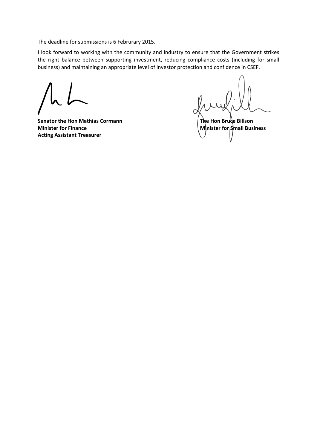The deadline for submissions is 6 Februrary 2015.

I look forward to working with the community and industry to ensure that the Government strikes the right balance between supporting investment, reducing compliance costs (including for small business) and maintaining an appropriate level of investor protection and confidence in CSEF.

**Senator the Hon Mathias Cormann The Hon Bruce Billson Minister for Finance Minister for Small Business Acting Assistant Treasurer**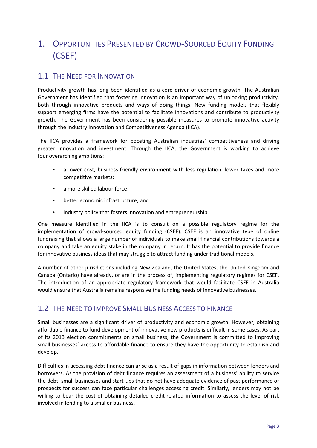## 1. OPPORTUNITIES PRESENTED BY CROWD-SOURCED EQUITY FUNDING (CSEF)

### 1.1 THE NEED FOR INNOVATION

Productivity growth has long been identified as a core driver of economic growth. The Australian Government has identified that fostering innovation is an important way of unlocking productivity, both through innovative products and ways of doing things. New funding models that flexibly support emerging firms have the potential to facilitate innovations and contribute to productivity growth. The Government has been considering possible measures to promote innovative activity through the Industry Innovation and Competitiveness Agenda (IICA).

The IICA provides a framework for boosting Australian industries' competitiveness and driving greater innovation and investment. Through the IICA, the Government is working to achieve four overarching ambitions:

- a lower cost, business-friendly environment with less regulation, lower taxes and more competitive markets;
- a more skilled labour force;
- better economic infrastructure; and
- industry policy that fosters innovation and entrepreneurship.

One measure identified in the IICA is to consult on a possible regulatory regime for the implementation of crowd-sourced equity funding (CSEF). CSEF is an innovative type of online fundraising that allows a large number of individuals to make small financial contributions towards a company and take an equity stake in the company in return. It has the potential to provide finance for innovative business ideas that may struggle to attract funding under traditional models.

A number of other jurisdictions including New Zealand, the United States, the United Kingdom and Canada (Ontario) have already, or are in the process of, implementing regulatory regimes for CSEF. The introduction of an appropriate regulatory framework that would facilitate CSEF in Australia would ensure that Australia remains responsive the funding needs of innovative businesses.

### 1.2 THE NEED TO IMPROVE SMALL BUSINESS ACCESS TO FINANCE

Small businesses are a significant driver of productivity and economic growth. However, obtaining affordable finance to fund development of innovative new products is difficult in some cases. As part of its 2013 election commitments on small business, the Government is committed to improving small businesses' access to affordable finance to ensure they have the opportunity to establish and develop.

Difficulties in accessing debt finance can arise as a result of gaps in information between lenders and borrowers. As the provision of debt finance requires an assessment of a business' ability to service the debt, small businesses and start-ups that do not have adequate evidence of past performance or prospects for success can face particular challenges accessing credit. Similarly, lenders may not be willing to bear the cost of obtaining detailed credit-related information to assess the level of risk involved in lending to a smaller business.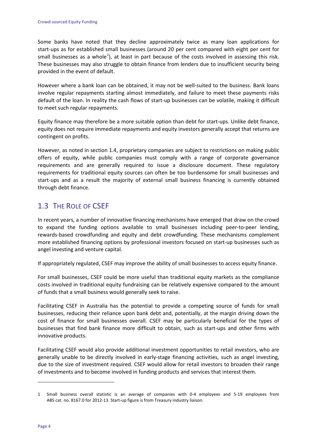Some banks have noted that they decline approximately twice as many loan applications for start-ups as for established small businesses (around 20 per cent compared with eight per cent for small businesses as a whole<sup>[1](#page-9-0)</sup>), at least in part because of the costs involved in assessing this risk. These businesses may also struggle to obtain finance from lenders due to insufficient security being provided in the event of default.

However where a bank loan can be obtained, it may not be well-suited to the business. Bank loans involve regular repayments starting almost immediately, and failure to meet these payments risks default of the loan. In reality the cash flows of start-up businesses can be volatile, making it difficult to meet such regular repayments.

Equity finance may therefore be a more suitable option than debt for start-ups. Unlike debt finance, equity does not require immediate repayments and equity investors generally accept that returns are contingent on profits.

However, as noted in section 1.4, proprietary companies are subject to restrictions on making public offers of equity, while public companies must comply with a range of corporate governance requirements and are generally required to issue a disclosure document. These regulatory requirements for traditional equity sources can often be too burdensome for small businesses and start-ups and as a result the majority of external small business financing is currently obtained through debt finance.

### 1.3 THE ROLE OF CSEF

In recent years, a number of innovative financing mechanisms have emerged that draw on the crowd to expand the funding options available to small businesses including peer-to-peer lending, rewards-based crowdfunding and equity and debt crowdfunding. These mechanisms complement more established financing options by professional investors focused on start-up businesses such as angel investing and venture capital.

If appropriately regulated, CSEF may improve the ability of small businesses to access equity finance.

For small businesses, CSEF could be more useful than traditional equity markets as the compliance costs involved in traditional equity fundraising can be relatively expensive compared to the amount of funds that a small business would generally seek to raise.

Facilitating CSEF in Australia has the potential to provide a competing source of funds for small businesses, reducing their reliance upon bank debt and, potentially, at the margin driving down the cost of finance for small businesses overall. CSEF may be particularly beneficial for the types of businesses that find bank finance more difficult to obtain, such as start-ups and other firms with innovative products.

Facilitating CSEF would also provide additional investment opportunities to retail investors, who are generally unable to be directly involved in early-stage financing activities, such as angel investing, due to the size of investment required. CSEF would allow for retail investors to broaden their range of investments and to become involved in funding products and services that interest them.

**.** 

<span id="page-9-0"></span><sup>1</sup> Small business overall statistic is an average of companies with 0-4 employees and 5-19 employees from ABS cat. no. 8167.0 for 2012-13. Start-up figure is from Treasury industry liaison.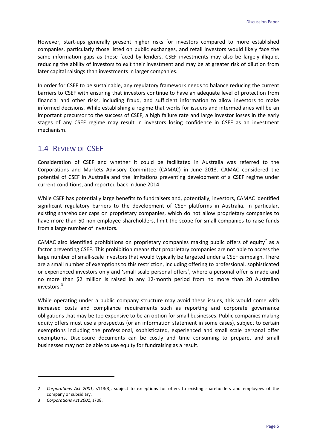However, start-ups generally present higher risks for investors compared to more established companies, particularly those listed on public exchanges, and retail investors would likely face the same information gaps as those faced by lenders. CSEF investments may also be largely illiquid, reducing the ability of investors to exit their investment and may be at greater risk of dilution from later capital raisings than investments in larger companies.

In order for CSEF to be sustainable, any regulatory framework needs to balance reducing the current barriers to CSEF with ensuring that investors continue to have an adequate level of protection from financial and other risks, including fraud, and sufficient information to allow investors to make informed decisions. While establishing a regime that works for issuers and intermediaries will be an important precursor to the success of CSEF, a high failure rate and large investor losses in the early stages of any CSEF regime may result in investors losing confidence in CSEF as an investment mechanism.

### 1.4 REVIEW OF CSEF

Consideration of CSEF and whether it could be facilitated in Australia was referred to the Corporations and Markets Advisory Committee (CAMAC) in June 2013. CAMAC considered the potential of CSEF in Australia and the limitations preventing development of a CSEF regime under current conditions, and reported back in June 2014.

While CSEF has potentially large benefits to fundraisers and, potentially, investors, CAMAC identified significant regulatory barriers to the development of CSEF platforms in Australia. In particular, existing shareholder caps on proprietary companies, which do not allow proprietary companies to have more than 50 non-employee shareholders, limit the scope for small companies to raise funds from a large number of investors.

CAMAC also identified prohibitions on proprietary companies making public offers of equity<sup>[2](#page-10-0)</sup> as a factor preventing CSEF. This prohibition means that proprietary companies are not able to access the large number of small-scale investors that would typically be targeted under a CSEF campaign. There are a small number of exemptions to this restriction, including offering to professional, sophisticated or experienced investors only and 'small scale personal offers', where a personal offer is made and no more than \$2 million is raised in any 12-month period from no more than 20 Australian investors.[3](#page-10-1)

While operating under a public company structure may avoid these issues, this would come with increased costs and compliance requirements such as reporting and corporate governance obligations that may be too expensive to be an option for small businesses. Public companies making equity offers must use a prospectus (or an information statement in some cases), subject to certain exemptions including the professional, sophisticated, experienced and small scale personal offer exemptions. Disclosure documents can be costly and time consuming to prepare, and small businesses may not be able to use equity for fundraising as a result.

**.** 

<span id="page-10-0"></span><sup>2</sup> *Corporations Act 2001*, s113(3), subject to exceptions for offers to existing shareholders and employees of the company or subsidiary.

<span id="page-10-1"></span><sup>3</sup> *Corporations Act 2001*, s708.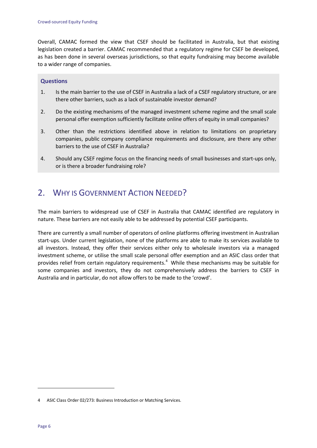Overall, CAMAC formed the view that CSEF should be facilitated in Australia, but that existing legislation created a barrier. CAMAC recommended that a regulatory regime for CSEF be developed, as has been done in several overseas jurisdictions, so that equity fundraising may become available to a wider range of companies.

#### **Questions**

- 1. Is the main barrier to the use of CSEF in Australia a lack of a CSEF regulatory structure, or are there other barriers, such as a lack of sustainable investor demand?
- 2. Do the existing mechanisms of the managed investment scheme regime and the small scale personal offer exemption sufficiently facilitate online offers of equity in small companies?
- 3. Other than the restrictions identified above in relation to limitations on proprietary companies, public company compliance requirements and disclosure, are there any other barriers to the use of CSEF in Australia?
- 4. Should any CSEF regime focus on the financing needs of small businesses and start-ups only, or is there a broader fundraising role?

## 2. WHY IS GOVERNMENT ACTION NEEDED?

The main barriers to widespread use of CSEF in Australia that CAMAC identified are regulatory in nature. These barriers are not easily able to be addressed by potential CSEF participants.

There are currently a small number of operators of online platforms offering investment in Australian start-ups. Under current legislation, none of the platforms are able to make its services available to all investors. Instead, they offer their services either only to wholesale investors via a managed investment scheme, or utilise the small scale personal offer exemption and an ASIC class order that provides relief from certain regulatory requirements.<sup>[4](#page-11-0)</sup> While these mechanisms may be suitable for some companies and investors, they do not comprehensively address the barriers to CSEF in Australia and in particular, do not allow offers to be made to the 'crowd'.

<span id="page-11-0"></span><sup>4</sup> ASIC Class Order 02/273: Business Introduction or Matching Services.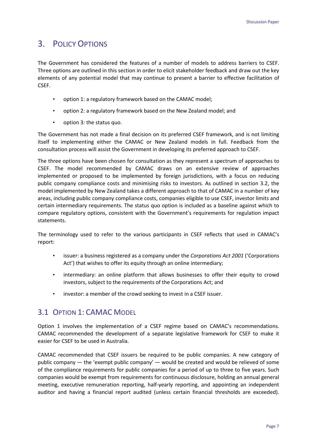### 3. POLICY OPTIONS

The Government has considered the features of a number of models to address barriers to CSEF. Three options are outlined in this section in order to elicit stakeholder feedback and draw out the key elements of any potential model that may continue to present a barrier to effective facilitation of CSEF.

- option 1: a regulatory framework based on the CAMAC model;
- option 2: a regulatory framework based on the New Zealand model; and
- option 3: the status quo.

The Government has not made a final decision on its preferred CSEF framework, and is not limiting itself to implementing either the CAMAC or New Zealand models in full. Feedback from the consultation process will assist the Government in developing its preferred approach to CSEF.

The three options have been chosen for consultation as they represent a spectrum of approaches to CSEF. The model recommended by CAMAC draws on an extensive review of approaches implemented or proposed to be implemented by foreign jurisdictions, with a focus on reducing public company compliance costs and minimising risks to investors. As outlined in section 3.2, the model implemented by New Zealand takes a different approach to that of CAMAC in a number of key areas, including public company compliance costs, companies eligible to use CSEF, investor limits and certain intermediary requirements. The status quo option is included as a baseline against which to compare regulatory options, consistent with the Government's requirements for regulation impact statements.

The terminology used to refer to the various participants in CSEF reflects that used in CAMAC's report:

- issuer: a business registered as a company under the *Corporations Act 2001* ('Corporations Act') that wishes to offer its equity through an online intermediary;
- intermediary: an online platform that allows businesses to offer their equity to crowd investors, subject to the requirements of the Corporations Act; and
- investor: a member of the crowd seeking to invest in a CSEF issuer.

### 3.1 OPTION 1: CAMAC MODEL

Option 1 involves the implementation of a CSEF regime based on CAMAC's recommendations. CAMAC recommended the development of a separate legislative framework for CSEF to make it easier for CSEF to be used in Australia.

CAMAC recommended that CSEF issuers be required to be public companies. A new category of public company — the 'exempt public company' — would be created and would be relieved of some of the compliance requirements for public companies for a period of up to three to five years. Such companies would be exempt from requirements for continuous disclosure, holding an annual general meeting, executive remuneration reporting, half-yearly reporting, and appointing an independent auditor and having a financial report audited (unless certain financial thresholds are exceeded).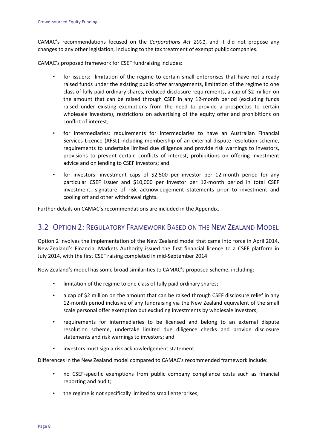CAMAC's recommendations focused on the *Corporations Act 2001*, and it did not propose any changes to any other legislation, including to the tax treatment of exempt public companies.

CAMAC's proposed framework for CSEF fundraising includes:

- for issuers: limitation of the regime to certain small enterprises that have not already raised funds under the existing public offer arrangements, limitation of the regime to one class of fully paid ordinary shares, reduced disclosure requirements, a cap of \$2 million on the amount that can be raised through CSEF in any 12-month period (excluding funds raised under existing exemptions from the need to provide a prospectus to certain wholesale investors), restrictions on advertising of the equity offer and prohibitions on conflict of interest;
- for intermediaries: requirements for intermediaries to have an Australian Financial Services Licence (AFSL) including membership of an external dispute resolution scheme, requirements to undertake limited due diligence and provide risk warnings to investors, provisions to prevent certain conflicts of interest, prohibitions on offering investment advice and on lending to CSEF investors; and
- for investors: investment caps of \$2,500 per investor per 12-month period for any particular CSEF issuer and \$10,000 per investor per 12-month period in total CSEF investment, signature of risk acknowledgement statements prior to investment and cooling off and other withdrawal rights.

Further details on CAMAC's recommendations are included in the Appendix.

### 3.2 OPTION 2: REGULATORY FRAMEWORK BASED ON THE NEW ZEALAND MODEL

Option 2 involves the implementation of the New Zealand model that came into force in April 2014. New Zealand's Financial Markets Authority issued the first financial licence to a CSEF platform in July 2014, with the first CSEF raising completed in mid-September 2014.

New Zealand's model has some broad similarities to CAMAC's proposed scheme, including:

- limitation of the regime to one class of fully paid ordinary shares;
- a cap of \$2 million on the amount that can be raised through CSEF disclosure relief in any 12-month period inclusive of any fundraising via the New Zealand equivalent of the small scale personal offer exemption but excluding investments by wholesale investors;
- requirements for intermediaries to be licensed and belong to an external dispute resolution scheme, undertake limited due diligence checks and provide disclosure statements and risk warnings to investors; and
- investors must sign a risk acknowledgement statement.

Differences in the New Zealand model compared to CAMAC's recommended framework include:

- no CSEF-specific exemptions from public company compliance costs such as financial reporting and audit;
- the regime is not specifically limited to small enterprises;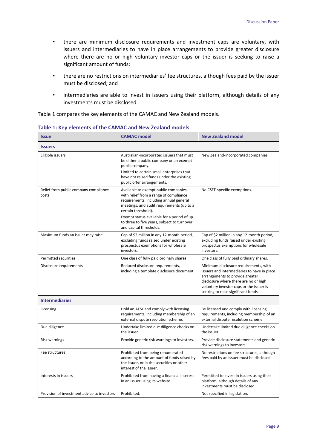- there are minimum disclosure requirements and investment caps are voluntary, with issuers and intermediaries to have in place arrangements to provide greater disclosure where there are no or high voluntary investor caps or the issuer is seeking to raise a significant amount of funds;
- there are no restrictions on intermediaries' fee structures, although fees paid by the issuer must be disclosed; and
- intermediaries are able to invest in issuers using their platform, although details of any investments must be disclosed.

Table 1 compares the key elements of the CAMAC and New Zealand models.

| <b>Issue</b>                                   | <b>CAMAC</b> model                                                                                                                                                                                                                                                                                                    | <b>New Zealand model</b>                                                                                                                                                                                                                            |  |  |  |
|------------------------------------------------|-----------------------------------------------------------------------------------------------------------------------------------------------------------------------------------------------------------------------------------------------------------------------------------------------------------------------|-----------------------------------------------------------------------------------------------------------------------------------------------------------------------------------------------------------------------------------------------------|--|--|--|
| <b>Issuers</b>                                 |                                                                                                                                                                                                                                                                                                                       |                                                                                                                                                                                                                                                     |  |  |  |
| Eligible issuers                               | Australian-incorporated issuers that must<br>be either a public company or an exempt<br>public company.<br>Limited to certain small enterprises that<br>have not raised funds under the existing<br>public offer arrangements.                                                                                        | New Zealand-incorporated companies.                                                                                                                                                                                                                 |  |  |  |
| Relief from public company compliance<br>costs | Available to exempt public companies,<br>with relief from a range of compliance<br>requirements, including annual general<br>meetings, and audit requirements (up to a<br>certain threshold).<br>Exempt status available for a period of up<br>to three to five years, subject to turnover<br>and capital thresholds. | No CSEF-specific exemptions.                                                                                                                                                                                                                        |  |  |  |
| Maximum funds an issuer may raise              | Cap of \$2 million in any 12-month period,<br>excluding funds raised under existing<br>prospectus exemptions for wholesale<br>investors.                                                                                                                                                                              | Cap of \$2 million in any 12-month period,<br>excluding funds raised under existing<br>prospectus exemptions for wholesale<br>investors.                                                                                                            |  |  |  |
| Permitted securities                           | One class of fully paid ordinary shares.                                                                                                                                                                                                                                                                              | One class of fully paid ordinary shares.                                                                                                                                                                                                            |  |  |  |
| Disclosure requirements                        | Reduced disclosure requirements,<br>including a template disclosure document.                                                                                                                                                                                                                                         | Minimum disclosure requirements, with<br>issuers and intermediaries to have in place<br>arrangements to provide greater<br>disclosure where there are no or high<br>voluntary investor caps or the issuer is<br>seeking to raise significant funds. |  |  |  |
| <b>Intermediaries</b>                          |                                                                                                                                                                                                                                                                                                                       |                                                                                                                                                                                                                                                     |  |  |  |
| Licensing                                      | Hold an AFSL and comply with licensing<br>requirements, including membership of an<br>external dispute resolution scheme.                                                                                                                                                                                             | Be licensed and comply with licensing<br>requirements, including membership of an<br>external dispute resolution scheme.                                                                                                                            |  |  |  |
| Due diligence                                  | Undertake limited due diligence checks on<br>the issuer.                                                                                                                                                                                                                                                              | Undertake limited due diligence checks on<br>the issuer.                                                                                                                                                                                            |  |  |  |
| Risk warnings                                  | Provide generic risk warnings to investors.                                                                                                                                                                                                                                                                           | Provide disclosure statements and generic<br>risk warnings to investors.                                                                                                                                                                            |  |  |  |
| Fee structures                                 | Prohibited from being renumerated<br>according to the amount of funds raised by<br>the issuer, or in the securities or other<br>interest of the issuer.                                                                                                                                                               | No restrictions on fee structures, although<br>fees paid by an issuer must be disclosed.                                                                                                                                                            |  |  |  |
| Interests in issuers                           | Prohibited from having a financial interest<br>in an issuer using its website.                                                                                                                                                                                                                                        | Permitted to invest in issuers using their<br>platform, although details of any<br>investments must be disclosed.                                                                                                                                   |  |  |  |
| Provision of investment advice to investors    | Prohibited.                                                                                                                                                                                                                                                                                                           | Not specified in legislation.                                                                                                                                                                                                                       |  |  |  |

#### **Table 1: Key elements of the CAMAC and New Zealand models**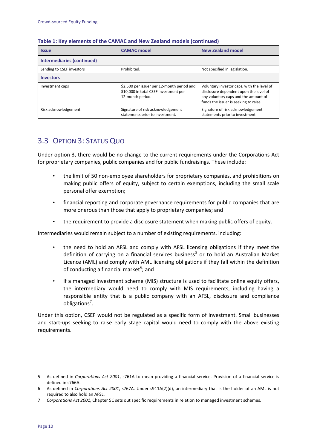| <b>Issue</b>               | <b>CAMAC</b> model                                                                                      | <b>New Zealand model</b>                                                                                                                                              |  |  |  |
|----------------------------|---------------------------------------------------------------------------------------------------------|-----------------------------------------------------------------------------------------------------------------------------------------------------------------------|--|--|--|
| Intermediaries (continued) |                                                                                                         |                                                                                                                                                                       |  |  |  |
| Lending to CSEF investors  | Prohibited.                                                                                             | Not specified in legislation.                                                                                                                                         |  |  |  |
| <b>Investors</b>           |                                                                                                         |                                                                                                                                                                       |  |  |  |
| Investment caps            | \$2,500 per issuer per 12-month period and<br>\$10,000 in total CSEF investment per<br>12-month period. | Voluntary investor caps, with the level of<br>disclosure dependent upon the level of<br>any voluntary caps and the amount of<br>funds the issuer is seeking to raise. |  |  |  |
| Risk acknowledgement       | Signature of risk acknowledgement<br>statements prior to investment.                                    | Signature of risk acknowledgement<br>statements prior to investment.                                                                                                  |  |  |  |

#### **Table 1: Key elements of the CAMAC and New Zealand models (continued)**

### 3.3 OPTION 3: STATUS QUO

Under option 3, there would be no change to the current requirements under the Corporations Act for proprietary companies, public companies and for public fundraisings. These include:

- the limit of 50 non-employee shareholders for proprietary companies, and prohibitions on making public offers of equity, subject to certain exemptions, including the small scale personal offer exemption;
- financial reporting and corporate governance requirements for public companies that are more onerous than those that apply to proprietary companies; and
- the requirement to provide a disclosure statement when making public offers of equity.

Intermediaries would remain subject to a number of existing requirements, including:

- the need to hold an AFSL and comply with AFSL licensing obligations if they meet the definition of carrying on a financial services business<sup>[5](#page-15-0)</sup> or to hold an Australian Market Licence (AML) and comply with AML licensing obligations if they fall within the definition of conducting a financial market $^6$  $^6$ ; and
- if a managed investment scheme (MIS) structure is used to facilitate online equity offers, the intermediary would need to comply with MIS requirements, including having a responsible entity that is a public company with an AFSL, disclosure and compliance obligations<sup>[7](#page-15-2)</sup>.

Under this option, CSEF would not be regulated as a specific form of investment. Small businesses and start-ups seeking to raise early stage capital would need to comply with the above existing requirements.

<span id="page-15-0"></span><sup>5</sup> As defined in *Corporations Act 2001*, s761A to mean providing a financial service. Provision of a financial service is defined in s766A.

<span id="page-15-1"></span><sup>6</sup> As defined in *Corporations Act 2001*, s767A. Under s911A(2)(d), an intermediary that is the holder of an AML is not required to also hold an AFSL.

<span id="page-15-2"></span><sup>7</sup> *Corporations Act 2001*, Chapter 5C sets out specific requirements in relation to managed investment schemes.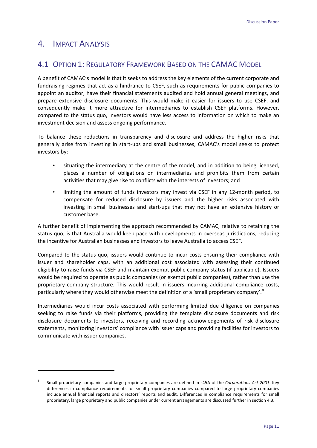### 4. IMPACT ANALYSIS

 $\overline{a}$ 

### 4.1 OPTION 1: REGULATORY FRAMEWORK BASED ON THE CAMAC MODEL

A benefit of CAMAC's model is that it seeks to address the key elements of the current corporate and fundraising regimes that act as a hindrance to CSEF, such as requirements for public companies to appoint an auditor, have their financial statements audited and hold annual general meetings, and prepare extensive disclosure documents. This would make it easier for issuers to use CSEF, and consequently make it more attractive for intermediaries to establish CSEF platforms. However, compared to the status quo, investors would have less access to information on which to make an investment decision and assess ongoing performance.

To balance these reductions in transparency and disclosure and address the higher risks that generally arise from investing in start-ups and small businesses, CAMAC's model seeks to protect investors by:

- situating the intermediary at the centre of the model, and in addition to being licensed, places a number of obligations on intermediaries and prohibits them from certain activities that may give rise to conflicts with the interests of investors; and
- limiting the amount of funds investors may invest via CSEF in any 12-month period, to compensate for reduced disclosure by issuers and the higher risks associated with investing in small businesses and start-ups that may not have an extensive history or customer base.

A further benefit of implementing the approach recommended by CAMAC, relative to retaining the status quo, is that Australia would keep pace with developments in overseas jurisdictions, reducing the incentive for Australian businesses and investors to leave Australia to access CSEF.

Compared to the status quo, issuers would continue to incur costs ensuring their compliance with issuer and shareholder caps, with an additional cost associated with assessing their continued eligibility to raise funds via CSEF and maintain exempt public company status (if applicable). Issuers would be required to operate as public companies (or exempt public companies), rather than use the proprietary company structure. This would result in issuers incurring additional compliance costs, particularly where they would otherwise meet the definition of a 'small proprietary company'.<sup>[8](#page-16-0)</sup>

Intermediaries would incur costs associated with performing limited due diligence on companies seeking to raise funds via their platforms, providing the template disclosure documents and risk disclosure documents to investors, receiving and recording acknowledgements of risk disclosure statements, monitoring investors' compliance with issuer caps and providing facilities for investors to communicate with issuer companies.

<span id="page-16-0"></span><sup>8</sup> Small proprietary companies and large proprietary companies are defined in s45A of the *Corporations Act 2001*. Key differences in compliance requirements for small proprietary companies compared to large proprietary companies include annual financial reports and directors' reports and audit. Differences in compliance requirements for small proprietary, large proprietary and public companies under current arrangements are discussed further in section 4.3.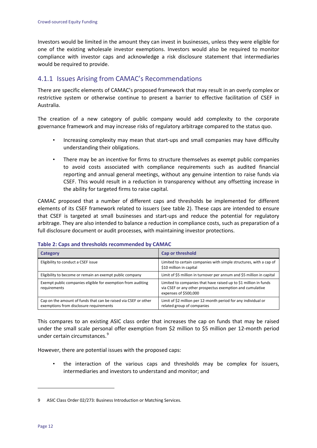Investors would be limited in the amount they can invest in businesses, unless they were eligible for one of the existing wholesale investor exemptions. Investors would also be required to monitor compliance with investor caps and acknowledge a risk disclosure statement that intermediaries would be required to provide.

### 4.1.1 Issues Arising from CAMAC's Recommendations

There are specific elements of CAMAC's proposed framework that may result in an overly complex or restrictive system or otherwise continue to present a barrier to effective facilitation of CSEF in Australia.

The creation of a new category of public company would add complexity to the corporate governance framework and may increase risks of regulatory arbitrage compared to the status quo.

- Increasing complexity may mean that start-ups and small companies may have difficulty understanding their obligations.
- There may be an incentive for firms to structure themselves as exempt public companies to avoid costs associated with compliance requirements such as audited financial reporting and annual general meetings, without any genuine intention to raise funds via CSEF. This would result in a reduction in transparency without any offsetting increase in the ability for targeted firms to raise capital.

CAMAC proposed that a number of different caps and thresholds be implemented for different elements of its CSEF framework related to issuers (see table 2). These caps are intended to ensure that CSEF is targeted at small businesses and start-ups and reduce the potential for regulatory arbitrage. They are also intended to balance a reduction in compliance costs, such as preparation of a full disclosure document or audit processes, with maintaining investor protections.

| Category                                                                                                   | <b>Cap or threshold</b>                                                                                                                                |
|------------------------------------------------------------------------------------------------------------|--------------------------------------------------------------------------------------------------------------------------------------------------------|
| Eligibility to conduct a CSEF issue                                                                        | Limited to certain companies with simple structures, with a cap of<br>\$10 million in capital                                                          |
| Eligibility to become or remain an exempt public company                                                   | Limit of \$5 million in turnover per annum and \$5 million in capital                                                                                  |
| Exempt public companies eligible for exemption from auditing<br>requirements                               | Limited to companies that have raised up to \$1 million in funds<br>via CSEF or any other prospectus exemption and cumulative<br>expenses of \$500,000 |
| Cap on the amount of funds that can be raised via CSEF or other<br>exemptions from disclosure requirements | Limit of \$2 million per 12-month period for any individual or<br>related group of companies                                                           |

#### **Table 2: Caps and thresholds recommended by CAMAC**

This compares to an existing ASIC class order that increases the cap on funds that may be raised under the small scale personal offer exemption from \$2 million to \$5 million per 12-month period under certain circumstances.<sup>[9](#page-17-0)</sup>

However, there are potential issues with the proposed caps:

• the interaction of the various caps and thresholds may be complex for issuers, intermediaries and investors to understand and monitor; and

<span id="page-17-0"></span><sup>9</sup> ASIC Class Order 02/273: Business Introduction or Matching Services.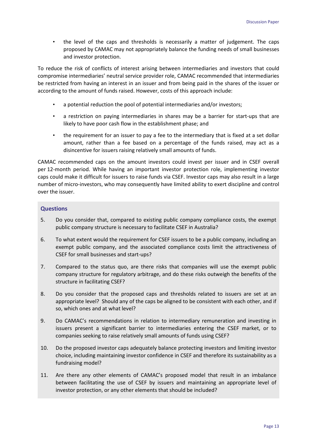• the level of the caps and thresholds is necessarily a matter of judgement. The caps proposed by CAMAC may not appropriately balance the funding needs of small businesses and investor protection.

To reduce the risk of conflicts of interest arising between intermediaries and investors that could compromise intermediaries' neutral service provider role, CAMAC recommended that intermediaries be restricted from having an interest in an issuer and from being paid in the shares of the issuer or according to the amount of funds raised. However, costs of this approach include:

- a potential reduction the pool of potential intermediaries and/or investors;
- a restriction on paying intermediaries in shares may be a barrier for start-ups that are likely to have poor cash flow in the establishment phase; and
- the requirement for an issuer to pay a fee to the intermediary that is fixed at a set dollar amount, rather than a fee based on a percentage of the funds raised, may act as a disincentive for issuers raising relatively small amounts of funds.

CAMAC recommended caps on the amount investors could invest per issuer and in CSEF overall per 12-month period. While having an important investor protection role, implementing investor caps could make it difficult for issuers to raise funds via CSEF. Investor caps may also result in a large number of micro-investors, who may consequently have limited ability to exert discipline and control over the issuer.

#### **Questions**

- 5. Do you consider that, compared to existing public company compliance costs, the exempt public company structure is necessary to facilitate CSEF in Australia?
- 6. To what extent would the requirement for CSEF issuers to be a public company, including an exempt public company, and the associated compliance costs limit the attractiveness of CSEF for small businesses and start-ups?
- 7. Compared to the status quo, are there risks that companies will use the exempt public company structure for regulatory arbitrage, and do these risks outweigh the benefits of the structure in facilitating CSEF?
- 8. Do you consider that the proposed caps and thresholds related to issuers are set at an appropriate level? Should any of the caps be aligned to be consistent with each other, and if so, which ones and at what level?
- 9. Do CAMAC's recommendations in relation to intermediary remuneration and investing in issuers present a significant barrier to intermediaries entering the CSEF market, or to companies seeking to raise relatively small amounts of funds using CSEF?
- 10. Do the proposed investor caps adequately balance protecting investors and limiting investor choice, including maintaining investor confidence in CSEF and therefore its sustainability as a fundraising model?
- 11. Are there any other elements of CAMAC's proposed model that result in an imbalance between facilitating the use of CSEF by issuers and maintaining an appropriate level of investor protection, or any other elements that should be included?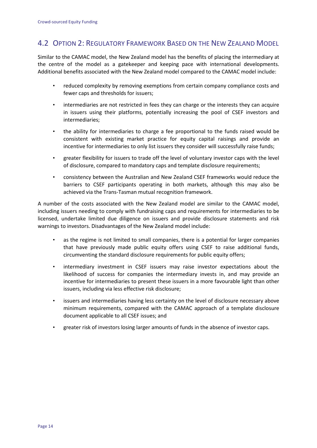### 4.2 OPTION 2: REGULATORY FRAMEWORK BASED ON THE NEW ZEALAND MODEL

Similar to the CAMAC model, the New Zealand model has the benefits of placing the intermediary at the centre of the model as a gatekeeper and keeping pace with international developments. Additional benefits associated with the New Zealand model compared to the CAMAC model include:

- reduced complexity by removing exemptions from certain company compliance costs and fewer caps and thresholds for issuers;
- intermediaries are not restricted in fees they can charge or the interests they can acquire in issuers using their platforms, potentially increasing the pool of CSEF investors and intermediaries;
- the ability for intermediaries to charge a fee proportional to the funds raised would be consistent with existing market practice for equity capital raisings and provide an incentive for intermediaries to only list issuers they consider will successfully raise funds;
- greater flexibility for issuers to trade off the level of voluntary investor caps with the level of disclosure, compared to mandatory caps and template disclosure requirements;
- consistency between the Australian and New Zealand CSEF frameworks would reduce the barriers to CSEF participants operating in both markets, although this may also be achieved via the Trans-Tasman mutual recognition framework.

A number of the costs associated with the New Zealand model are similar to the CAMAC model, including issuers needing to comply with fundraising caps and requirements for intermediaries to be licensed, undertake limited due diligence on issuers and provide disclosure statements and risk warnings to investors. Disadvantages of the New Zealand model include:

- as the regime is not limited to small companies, there is a potential for larger companies that have previously made public equity offers using CSEF to raise additional funds, circumventing the standard disclosure requirements for public equity offers;
- intermediary investment in CSEF issuers may raise investor expectations about the likelihood of success for companies the intermediary invests in, and may provide an incentive for intermediaries to present these issuers in a more favourable light than other issuers, including via less effective risk disclosure;
- issuers and intermediaries having less certainty on the level of disclosure necessary above minimum requirements, compared with the CAMAC approach of a template disclosure document applicable to all CSEF issues; and
- greater risk of investors losing larger amounts of funds in the absence of investor caps.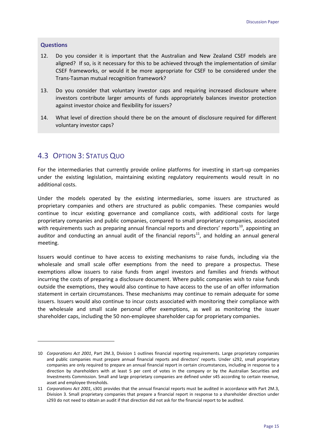#### **Questions**

**.** 

- 12. Do you consider it is important that the Australian and New Zealand CSEF models are aligned? If so, is it necessary for this to be achieved through the implementation of similar CSEF frameworks, or would it be more appropriate for CSEF to be considered under the Trans-Tasman mutual recognition framework?
- 13. Do you consider that voluntary investor caps and requiring increased disclosure where investors contribute larger amounts of funds appropriately balances investor protection against investor choice and flexibility for issuers?
- 14. What level of direction should there be on the amount of disclosure required for different voluntary investor caps?

### 4.3 OPTION 3: STATUS QUO

For the intermediaries that currently provide online platforms for investing in start-up companies under the existing legislation, maintaining existing regulatory requirements would result in no additional costs.

Under the models operated by the existing intermediaries, some issuers are structured as proprietary companies and others are structured as public companies. These companies would continue to incur existing governance and compliance costs, with additional costs for large proprietary companies and public companies, compared to small proprietary companies, associated with requirements such as preparing annual financial reports and directors' reports<sup>[10](#page-20-0)</sup>, appointing an auditor and conducting an annual audit of the financial reports<sup>[11](#page-20-1)</sup>, and holding an annual general meeting.

Issuers would continue to have access to existing mechanisms to raise funds, including via the wholesale and small scale offer exemptions from the need to prepare a prospectus. These exemptions allow issuers to raise funds from angel investors and families and friends without incurring the costs of preparing a disclosure document. Where public companies wish to raise funds outside the exemptions, they would also continue to have access to the use of an offer information statement in certain circumstances. These mechanisms may continue to remain adequate for some issuers. Issuers would also continue to incur costs associated with monitoring their compliance with the wholesale and small scale personal offer exemptions, as well as monitoring the issuer shareholder caps, including the 50 non-employee shareholder cap for proprietary companies.

<span id="page-20-0"></span><sup>10</sup> *Corporations Act 2001*, Part 2M.3, Division 1 outlines financial reporting requirements. Large proprietary companies and public companies must prepare annual financial reports and directors' reports. Under s292, small proprietary companies are only required to prepare an annual financial report in certain circumstances, including in response to a direction by shareholders with at least 5 per cent of votes in the company or by the Australian Securities and Investments Commission. Small and large proprietary companies are defined under s45 according to certain revenue, asset and employee thresholds.

<span id="page-20-1"></span><sup>11</sup> *Corporations Act 2001*, s301 provides that the annual financial reports must be audited in accordance with Part 2M.3, Division 3. Small proprietary companies that prepare a financial report in response to a shareholder direction under s293 do not need to obtain an audit if that direction did not ask for the financial report to be audited.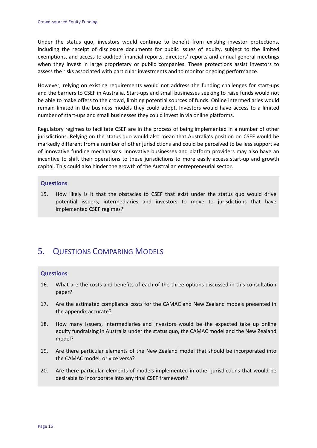Under the status quo, investors would continue to benefit from existing investor protections, including the receipt of disclosure documents for public issues of equity, subject to the limited exemptions, and access to audited financial reports, directors' reports and annual general meetings when they invest in large proprietary or public companies. These protections assist investors to assess the risks associated with particular investments and to monitor ongoing performance.

However, relying on existing requirements would not address the funding challenges for start-ups and the barriers to CSEF in Australia. Start-ups and small businesses seeking to raise funds would not be able to make offers to the crowd, limiting potential sources of funds. Online intermediaries would remain limited in the business models they could adopt. Investors would have access to a limited number of start-ups and small businesses they could invest in via online platforms.

Regulatory regimes to facilitate CSEF are in the process of being implemented in a number of other jurisdictions. Relying on the status quo would also mean that Australia's position on CSEF would be markedly different from a number of other jurisdictions and could be perceived to be less supportive of innovative funding mechanisms. Innovative businesses and platform providers may also have an incentive to shift their operations to these jurisdictions to more easily access start-up and growth capital. This could also hinder the growth of the Australian entrepreneurial sector.

#### **Questions**

15. How likely is it that the obstacles to CSEF that exist under the status quo would drive potential issuers, intermediaries and investors to move to jurisdictions that have implemented CSEF regimes?

## 5. QUESTIONS COMPARING MODELS

### **Questions**

- 16. What are the costs and benefits of each of the three options discussed in this consultation paper?
- 17. Are the estimated compliance costs for the CAMAC and New Zealand models presented in the appendix accurate?
- 18. How many issuers, intermediaries and investors would be the expected take up online equity fundraising in Australia under the status quo, the CAMAC model and the New Zealand model?
- 19. Are there particular elements of the New Zealand model that should be incorporated into the CAMAC model, or vice versa?
- 20. Are there particular elements of models implemented in other jurisdictions that would be desirable to incorporate into any final CSEF framework?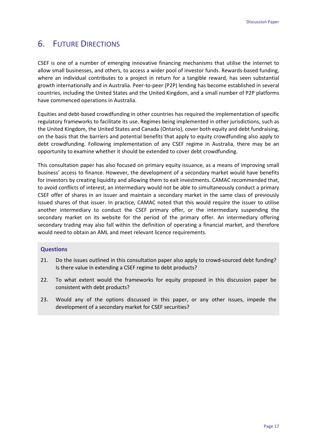## 6. FUTURE DIRECTIONS

CSEF is one of a number of emerging innovative financing mechanisms that utilise the internet to allow small businesses, and others, to access a wider pool of investor funds. Rewards-based funding, where an individual contributes to a project in return for a tangible reward, has seen substantial growth internationally and in Australia. Peer-to-peer (P2P) lending has become established in several countries, including the United States and the United Kingdom, and a small number of P2P platforms have commenced operations in Australia.

Equities and debt-based crowdfunding in other countries has required the implementation of specific regulatory frameworks to facilitate its use. Regimes being implemented in other jurisdictions, such as the United Kingdom, the United States and Canada (Ontario), cover both equity and debt fundraising, on the basis that the barriers and potential benefits that apply to equity crowdfunding also apply to debt crowdfunding. Following implementation of any CSEF regime in Australia, there may be an opportunity to examine whether it should be extended to cover debt crowdfunding.

This consultation paper has also focused on primary equity issuance, as a means of improving small business' access to finance. However, the development of a secondary market would have benefits for investors by creating liquidity and allowing them to exit investments. CAMAC recommended that, to avoid conflicts of interest, an intermediary would not be able to simultaneously conduct a primary CSEF offer of shares in an issuer and maintain a secondary market in the same class of previously issued shares of that issuer. In practice, CAMAC noted that this would require the issuer to utilise another intermediary to conduct the CSEF primary offer, or the intermediary suspending the secondary market on its website for the period of the primary offer. An intermediary offering secondary trading may also fall within the definition of operating a financial market, and therefore would need to obtain an AML and meet relevant licence requirements.

### **Questions**

- 21. Do the issues outlined in this consultation paper also apply to crowd-sourced debt funding? Is there value in extending a CSEF regime to debt products?
- 22. To what extent would the frameworks for equity proposed in this discussion paper be consistent with debt products?
- 23. Would any of the options discussed in this paper, or any other issues, impede the development of a secondary market for CSEF securities?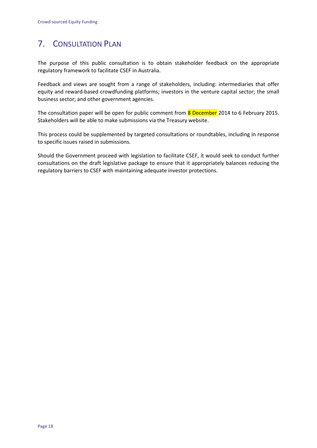## 7. CONSULTATION PLAN

The purpose of this public consultation is to obtain stakeholder feedback on the appropriate regulatory framework to facilitate CSEF in Australia.

Feedback and views are sought from a range of stakeholders, including: intermediaries that offer equity and reward-based crowdfunding platforms; investors in the venture capital sector; the small business sector; and other government agencies.

The consultation paper will be open for public comment from 8 December 2014 to 6 February 2015. Stakeholders will be able to make submissions via the Treasury website.

This process could be supplemented by targeted consultations or roundtables, including in response to specific issues raised in submissions.

Should the Government proceed with legislation to facilitate CSEF, it would seek to conduct further consultations on the draft legislative package to ensure that it appropriately balances reducing the regulatory barriers to CSEF with maintaining adequate investor protections.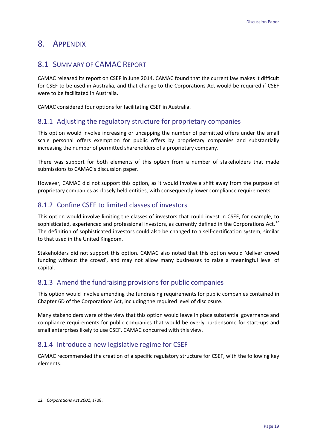### 8. APPENDIX

### 8.1 SUMMARY OF CAMAC REPORT

CAMAC released its report on CSEF in June 2014. CAMAC found that the current law makes it difficult for CSEF to be used in Australia, and that change to the Corporations Act would be required if CSEF were to be facilitated in Australia.

CAMAC considered four options for facilitating CSEF in Australia.

### 8.1.1 Adjusting the regulatory structure for proprietary companies

This option would involve increasing or uncapping the number of permitted offers under the small scale personal offers exemption for public offers by proprietary companies and substantially increasing the number of permitted shareholders of a proprietary company.

There was support for both elements of this option from a number of stakeholders that made submissions to CAMAC's discussion paper.

However, CAMAC did not support this option, as it would involve a shift away from the purpose of proprietary companies as closely held entities, with consequently lower compliance requirements.

### 8.1.2 Confine CSEF to limited classes of investors

This option would involve limiting the classes of investors that could invest in CSEF, for example, to sophisticated, experienced and professional investors, as currently defined in the Corporations Act.<sup>[12](#page-24-0)</sup> The definition of sophisticated investors could also be changed to a self-certification system, similar to that used in the United Kingdom.

Stakeholders did not support this option. CAMAC also noted that this option would 'deliver crowd funding without the crowd', and may not allow many businesses to raise a meaningful level of capital.

### 8.1.3 Amend the fundraising provisions for public companies

This option would involve amending the fundraising requirements for public companies contained in Chapter 6D of the Corporations Act, including the required level of disclosure.

Many stakeholders were of the view that this option would leave in place substantial governance and compliance requirements for public companies that would be overly burdensome for start-ups and small enterprises likely to use CSEF. CAMAC concurred with this view.

### 8.1.4 Introduce a new legislative regime for CSEF

CAMAC recommended the creation of a specific regulatory structure for CSEF, with the following key elements.

<span id="page-24-0"></span><sup>12</sup> *Corporations Act 2001*, s708.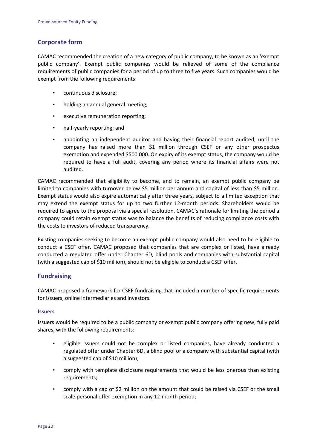### **Corporate form**

CAMAC recommended the creation of a new category of public company, to be known as an 'exempt public company'. Exempt public companies would be relieved of some of the compliance requirements of public companies for a period of up to three to five years. Such companies would be exempt from the following requirements:

- continuous disclosure;
- holding an annual general meeting;
- executive remuneration reporting;
- half-yearly reporting; and
- appointing an independent auditor and having their financial report audited, until the company has raised more than \$1 million through CSEF or any other prospectus exemption and expended \$500,000. On expiry of its exempt status, the company would be required to have a full audit, covering any period where its financial affairs were not audited.

CAMAC recommended that eligibility to become, and to remain, an exempt public company be limited to companies with turnover below \$5 million per annum and capital of less than \$5 million. Exempt status would also expire automatically after three years, subject to a limited exception that may extend the exempt status for up to two further 12-month periods. Shareholders would be required to agree to the proposal via a special resolution. CAMAC's rationale for limiting the period a company could retain exempt status was to balance the benefits of reducing compliance costs with the costs to investors of reduced transparency.

Existing companies seeking to become an exempt public company would also need to be eligible to conduct a CSEF offer. CAMAC proposed that companies that are complex or listed, have already conducted a regulated offer under Chapter 6D, blind pools and companies with substantial capital (with a suggested cap of \$10 million), should not be eligible to conduct a CSEF offer.

### **Fundraising**

CAMAC proposed a framework for CSEF fundraising that included a number of specific requirements for issuers, online intermediaries and investors.

#### **Issuers**

Issuers would be required to be a public company or exempt public company offering new, fully paid shares, with the following requirements:

- eligible issuers could not be complex or listed companies, have already conducted a regulated offer under Chapter 6D, a blind pool or a company with substantial capital (with a suggested cap of \$10 million);
- comply with template disclosure requirements that would be less onerous than existing requirements:
- comply with a cap of \$2 million on the amount that could be raised via CSEF or the small scale personal offer exemption in any 12-month period;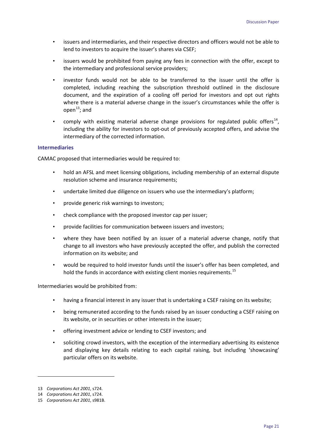- issuers and intermediaries, and their respective directors and officers would not be able to lend to investors to acquire the issuer's shares via CSEF;
- issuers would be prohibited from paying any fees in connection with the offer, except to the intermediary and professional service providers;
- investor funds would not be able to be transferred to the issuer until the offer is completed, including reaching the subscription threshold outlined in the disclosure document, and the expiration of a cooling off period for investors and opt out rights where there is a material adverse change in the issuer's circumstances while the offer is open<sup>[13](#page-26-0)</sup>; and
- comply with existing material adverse change provisions for regulated public offers<sup>14</sup>, including the ability for investors to opt-out of previously accepted offers, and advise the intermediary of the corrected information.

#### **Intermediaries**

CAMAC proposed that intermediaries would be required to:

- hold an AFSL and meet licensing obligations, including membership of an external dispute resolution scheme and insurance requirements;
- undertake limited due diligence on issuers who use the intermediary's platform;
- provide generic risk warnings to investors;
- check compliance with the proposed investor cap per issuer;
- provide facilities for communication between issuers and investors;
- where they have been notified by an issuer of a material adverse change, notify that change to all investors who have previously accepted the offer, and publish the corrected information on its website; and
- would be required to hold investor funds until the issuer's offer has been completed, and hold the funds in accordance with existing client monies requirements.<sup>[15](#page-26-2)</sup>

Intermediaries would be prohibited from:

- having a financial interest in any issuer that is undertaking a CSEF raising on its website;
- being remunerated according to the funds raised by an issuer conducting a CSEF raising on its website, or in securities or other interests in the issuer;
- offering investment advice or lending to CSEF investors; and
- soliciting crowd investors, with the exception of the intermediary advertising its existence and displaying key details relating to each capital raising, but including 'showcasing' particular offers on its website.

**.** 

<span id="page-26-0"></span><sup>13</sup> *Corporations Act 2001*, s724.

<span id="page-26-1"></span><sup>14</sup> *Corporations Act 2001*, s724.

<span id="page-26-2"></span><sup>15</sup> *Corporations Act 2001*, s981B.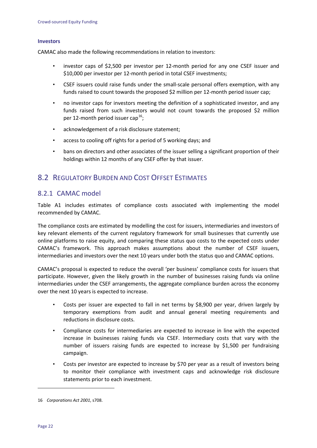#### **Investors**

CAMAC also made the following recommendations in relation to investors:

- investor caps of \$2,500 per investor per 12-month period for any one CSEF issuer and \$10,000 per investor per 12-month period in total CSEF investments;
- CSEF issuers could raise funds under the small-scale personal offers exemption, with any funds raised to count towards the proposed \$2 million per 12-month period issuer cap;
- no investor caps for investors meeting the definition of a sophisticated investor, and any funds raised from such investors would not count towards the proposed \$2 million per 12-month period issuer cap<sup>[16](#page-27-0)</sup>;
- acknowledgement of a risk disclosure statement;
- access to cooling off rights for a period of 5 working days; and
- bans on directors and other associates of the issuer selling a significant proportion of their holdings within 12 months of any CSEF offer by that issuer.

### 8.2 REGULATORY BURDEN AND COST OFFSET ESTIMATES

### 8.2.1 CAMAC model

Table A1 includes estimates of compliance costs associated with implementing the model recommended by CAMAC.

The compliance costs are estimated by modelling the cost for issuers, intermediaries and investors of key relevant elements of the current regulatory framework for small businesses that currently use online platforms to raise equity, and comparing these status quo costs to the expected costs under CAMAC's framework. This approach makes assumptions about the number of CSEF issuers, intermediaries and investors over the next 10 years under both the status quo and CAMAC options.

CAMAC's proposal is expected to reduce the overall 'per business' compliance costs for issuers that participate. However, given the likely growth in the number of businesses raising funds via online intermediaries under the CSEF arrangements, the aggregate compliance burden across the economy over the next 10 years is expected to increase.

- Costs per issuer are expected to fall in net terms by \$8,900 per year, driven largely by temporary exemptions from audit and annual general meeting requirements and reductions in disclosure costs.
- Compliance costs for intermediaries are expected to increase in line with the expected increase in businesses raising funds via CSEF. Intermediary costs that vary with the number of issuers raising funds are expected to increase by \$1,500 per fundraising campaign.
- Costs per investor are expected to increase by \$70 per year as a result of investors being to monitor their compliance with investment caps and acknowledge risk disclosure statements prior to each investment.

<span id="page-27-0"></span><sup>16</sup> *Corporations Act 2001*, s708.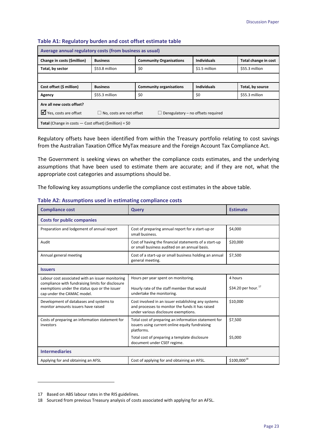| Average annual regulatory costs (from business as usual)        |                                                                                 |                                |                    |                      |  |
|-----------------------------------------------------------------|---------------------------------------------------------------------------------|--------------------------------|--------------------|----------------------|--|
| Change in costs (\$million)                                     | <b>Business</b>                                                                 | <b>Community Organisations</b> | <b>Individuals</b> | Total change in cost |  |
| Total, by sector                                                | \$53.8 million                                                                  | \$0                            | \$1.5 million      | \$55.3 million       |  |
|                                                                 |                                                                                 |                                |                    |                      |  |
| Cost offset (\$ million)                                        | <b>Business</b>                                                                 | <b>Community organisations</b> | <b>Individuals</b> | Total, by source     |  |
| Agency                                                          | \$55.3 million                                                                  | \$0                            | \$0                | \$55.3 million       |  |
| Are all new costs offset?                                       |                                                                                 |                                |                    |                      |  |
| $\triangledown$ Yes, costs are offset                           | $\Box$ No, costs are not offset<br>Deregulatory - no offsets required<br>$\Box$ |                                |                    |                      |  |
| <b>Total</b> (Change in costs $-$ Cost offset) (Smillion) = \$0 |                                                                                 |                                |                    |                      |  |

#### **Table A1: Regulatory burden and cost offset estimate table**

Regulatory offsets have been identified from within the Treasury portfolio relating to cost savings from the Australian Taxation Office MyTax measure and the Foreign Account Tax Compliance Act.

The Government is seeking views on whether the compliance costs estimates, and the underlying assumptions that have been used to estimate them are accurate; and if they are not, what the appropriate cost categories and assumptions should be.

The following key assumptions underlie the compliance cost estimates in the above table.

| <b>Compliance cost</b>                                                                                                                                                               | Query                                                                                                                                           | <b>Estimate</b>                            |  |  |
|--------------------------------------------------------------------------------------------------------------------------------------------------------------------------------------|-------------------------------------------------------------------------------------------------------------------------------------------------|--------------------------------------------|--|--|
| <b>Costs for public companies</b>                                                                                                                                                    |                                                                                                                                                 |                                            |  |  |
| Preparation and lodgement of annual report                                                                                                                                           | Cost of preparing annual report for a start-up or<br>small business.                                                                            | \$4,000                                    |  |  |
| Audit                                                                                                                                                                                | Cost of having the financial statements of a start-up<br>or small business audited on an annual basis.                                          | \$20,000                                   |  |  |
| Annual general meeting                                                                                                                                                               | Cost of a start-up or small business holding an annual<br>general meeting.                                                                      | \$7,500                                    |  |  |
| <b>Issuers</b>                                                                                                                                                                       |                                                                                                                                                 |                                            |  |  |
| Labour cost associated with an issuer monitoring<br>compliance with fundraising limits for disclosure<br>exemptions under the status quo or the issuer<br>cap under the CAMAC model. | Hours per year spent on monitoring.<br>Hourly rate of the staff member that would<br>undertake the monitoring.                                  | 4 hours<br>\$34.20 per hour. <sup>17</sup> |  |  |
| Development of databases and systems to<br>monitor amounts issuers have raised                                                                                                       | Cost involved in an issuer establishing any systems<br>and processes to monitor the funds it has raised<br>under various disclosure exemptions. | \$10.000                                   |  |  |
| Costs of preparing an information statement for<br>investors                                                                                                                         | Total cost of preparing an information statement for<br>issuers using current online equity fundraising<br>platforms.                           | \$7,500                                    |  |  |
|                                                                                                                                                                                      | Total cost of preparing a template disclosure<br>document under CSEF regime.                                                                    | \$5,000                                    |  |  |
| <b>Intermediaries</b>                                                                                                                                                                |                                                                                                                                                 |                                            |  |  |
| Applying for and obtaining an AFSL                                                                                                                                                   | Cost of applying for and obtaining an AFSL.                                                                                                     | $$100,000^{18}$$                           |  |  |

#### **Table A2: Assumptions used in estimating compliance costs**

**.** 

<span id="page-28-0"></span><sup>17</sup> Based on ABS labour rates in the RIS guidelines.

<span id="page-28-1"></span><sup>18</sup> Sourced from previous Treasury analysis of costs associated with applying for an AFSL.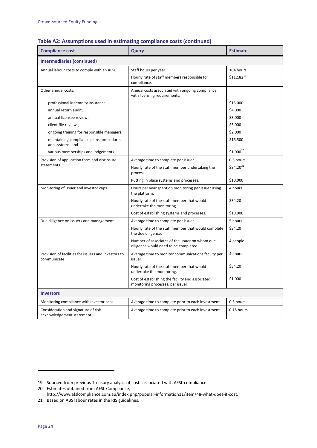| <b>Compliance cost</b>                                              | Query                                                                                   | <b>Estimate</b> |  |  |
|---------------------------------------------------------------------|-----------------------------------------------------------------------------------------|-----------------|--|--|
| <b>Intermediaries (continued)</b>                                   |                                                                                         |                 |  |  |
| Annual labour costs to comply with an AFSL                          | Staff hours per year.                                                                   | 104 hours       |  |  |
|                                                                     | Hourly rate of staff members responsible for<br>compliance.                             | $$112.82^{19}$  |  |  |
| Other annual costs:                                                 | Annual costs associated with ongoing compliance<br>with licensing requirements.         |                 |  |  |
| professional indemnity insurance;                                   |                                                                                         | \$15,000        |  |  |
| annual return audit;                                                |                                                                                         | \$4,000         |  |  |
| annual licensee review;                                             |                                                                                         | \$3,000         |  |  |
| client file reviews;                                                |                                                                                         | \$5,000         |  |  |
| ongoing training for responsible managers;                          |                                                                                         | \$2,000         |  |  |
| maintaining compliance plans, procedures<br>and systems; and        |                                                                                         | \$16,500        |  |  |
| various memberships and lodgements                                  |                                                                                         | $$1,000^{20}$   |  |  |
| Provision of application form and disclosure                        | Average time to complete per issuer.                                                    | 0.5 hours       |  |  |
| statements                                                          | Hourly rate of the staff member undertaking the<br>process.                             | $$34.20^{21}$   |  |  |
|                                                                     | Putting in place systems and processes.                                                 | \$10,000        |  |  |
| Monitoring of issuer and investor caps                              | Hours per year spent on monitoring per issuer using<br>the platform.                    | 4 hours         |  |  |
|                                                                     | Hourly rate of the staff member that would<br>undertake the monitoring.                 | \$34.20         |  |  |
|                                                                     | Cost of establishing systems and processes.                                             | \$10,000        |  |  |
| Due diligence on issuers and management                             | Average time to complete per issuer.                                                    | 5 hours         |  |  |
|                                                                     | Hourly rate of the staff member that would complete<br>the due diligence.               | \$34.20         |  |  |
|                                                                     | Number of associates of the issuer on whom due<br>diligence would need to be completed. | 4 people        |  |  |
| Provision of facilities for issuers and investors to<br>communicate | Average time to monitor communications facility per<br>issuer.                          | 4 hours         |  |  |
|                                                                     | Hourly rate of the staff member that would<br>undertake the monitoring.                 | \$34.20         |  |  |
|                                                                     | Cost of establishing the facility and associated<br>monitoring processes, per issuer.   | \$1,000         |  |  |
| <b>Investors</b>                                                    |                                                                                         |                 |  |  |
| Monitoring compliance with investor caps                            | Average time to complete prior to each investment.                                      | 0.5 hours       |  |  |
| Consideration and signature of risk<br>acknowledgement statement    | Average time to complete prior to each investment.                                      | 0.15 hours      |  |  |

#### **Table A2: Assumptions used in estimating compliance costs (continued)**

<span id="page-29-0"></span><sup>19</sup> Sourced from previous Treasury analysis of costs associated with AFSL compliance.

<span id="page-29-1"></span><sup>20</sup> Estimates obtained from AFSL Compliance,

[http://www.afslcompliance.com.au/index.php/popular-information11/item/48-what-does-it-cost.](http://www.afslcompliance.com.au/index.php/popular-information11/item/48-what-does-it-cost)

<span id="page-29-2"></span><sup>21</sup> Based on ABS labour rates in the RIS guidelines.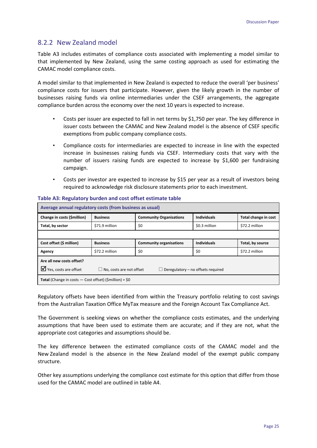### 8.2.2 New Zealand model

Table A3 includes estimates of compliance costs associated with implementing a model similar to that implemented by New Zealand, using the same costing approach as used for estimating the CAMAC model compliance costs.

A model similar to that implemented in New Zealand is expected to reduce the overall 'per business' compliance costs for issuers that participate. However, given the likely growth in the number of businesses raising funds via online intermediaries under the CSEF arrangements, the aggregate compliance burden across the economy over the next 10 years is expected to increase.

- Costs per issuer are expected to fall in net terms by \$1,750 per year. The key difference in issuer costs between the CAMAC and New Zealand model is the absence of CSEF specific exemptions from public company compliance costs.
- Compliance costs for intermediaries are expected to increase in line with the expected increase in businesses raising funds via CSEF. Intermediary costs that vary with the number of issuers raising funds are expected to increase by \$1,600 per fundraising campaign.
- Costs per investor are expected to increase by \$15 per year as a result of investors being required to acknowledge risk disclosure statements prior to each investment.

| Average annual regulatory costs (from business as usual)                                                                |                 |                                |                    |                      |  |  |
|-------------------------------------------------------------------------------------------------------------------------|-----------------|--------------------------------|--------------------|----------------------|--|--|
| Change in costs (\$million)                                                                                             | <b>Business</b> | <b>Community Organisations</b> | <b>Individuals</b> | Total change in cost |  |  |
| Total, by sector                                                                                                        | \$71.9 million  | \$0                            | \$0.3 million      | \$72.2 million       |  |  |
|                                                                                                                         |                 |                                |                    |                      |  |  |
| Cost offset (\$ million)                                                                                                | <b>Business</b> | <b>Community organisations</b> | <b>Individuals</b> | Total, by source     |  |  |
| Agency                                                                                                                  | \$72.2 million  | \$0                            | \$0                | \$72.2 million       |  |  |
| Are all new costs offset?                                                                                               |                 |                                |                    |                      |  |  |
| $\mathbf{\nabla}$ Yes, costs are offset<br>$\Box$ No, costs are not offset<br>$\Box$ Deregulatory – no offsets required |                 |                                |                    |                      |  |  |
| <b>Total</b> (Change in costs $-$ Cost offset) (Smillion) = \$0                                                         |                 |                                |                    |                      |  |  |

#### **Table A3: Regulatory burden and cost offset estimate table**

Regulatory offsets have been identified from within the Treasury portfolio relating to cost savings from the Australian Taxation Office MyTax measure and the Foreign Account Tax Compliance Act.

The Government is seeking views on whether the compliance costs estimates, and the underlying assumptions that have been used to estimate them are accurate; and if they are not, what the appropriate cost categories and assumptions should be.

The key difference between the estimated compliance costs of the CAMAC model and the New Zealand model is the absence in the New Zealand model of the exempt public company structure.

Other key assumptions underlying the compliance cost estimate for this option that differ from those used for the CAMAC model are outlined in table A4.